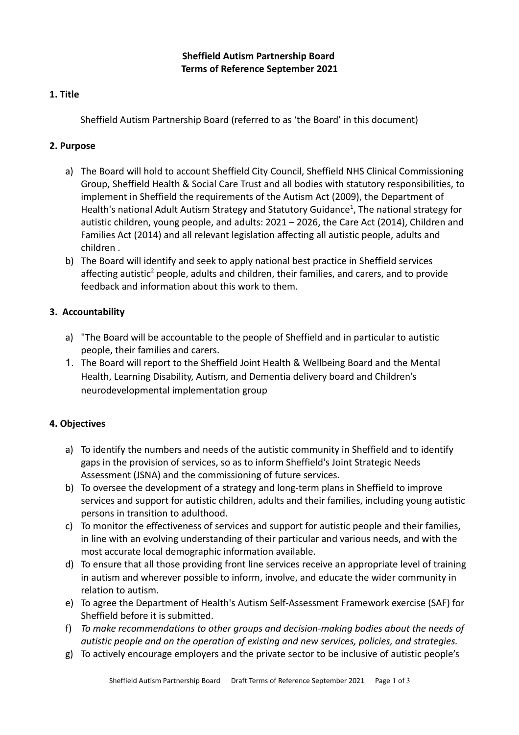## **1. Title**

Sheffield Autism Partnership Board (referred to as 'the Board' in this document)

# **2. Purpose**

- a) The Board will hold to account Sheffield City Council, Sheffield NHS Clinical Commissioning Group, Sheffield Health & Social Care Trust and all bodies with statutory responsibilities, to implement in Sheffield the requirements of the Autism Act (2009), the Department of Health's national Adult Autism Strategy and Statutory Guidance<sup>1</sup>, The national strategy for autistic children, young people, and adults: 2021 – 2026, the Care Act (2014), Children and Families Act (2014) and all relevant legislation affecting all autistic people, adults and children .
- b) The Board will identify and seek to apply national best practice in Sheffield services affecting autistic<sup>2</sup> people, adults and children, their families, and carers, and to provide feedback and information about this work to them.

## **3. Accountability**

- a) "The Board will be accountable to the people of Sheffield and in particular to autistic people, their families and carers.
- 1. The Board will report to the Sheffield Joint Health & Wellbeing Board and the Mental Health, Learning Disability, Autism, and Dementia delivery board and Children's neurodevelopmental implementation group

## **4. Objectives**

- a) To identify the numbers and needs of the autistic community in Sheffield and to identify gaps in the provision of services, so as to inform Sheffield's Joint Strategic Needs Assessment (JSNA) and the commissioning of future services.
- b) To oversee the development of a strategy and long-term plans in Sheffield to improve services and support for autistic children, adults and their families, including young autistic persons in transition to adulthood.
- c) To monitor the effectiveness of services and support for autistic people and their families, in line with an evolving understanding of their particular and various needs, and with the most accurate local demographic information available.
- d) To ensure that all those providing front line services receive an appropriate level of training in autism and wherever possible to inform, involve, and educate the wider community in relation to autism.
- e) To agree the Department of Health's Autism Self-Assessment Framework exercise (SAF) for Sheffield before it is submitted.
- f) *To make recommendations to other groups and decision-making bodies about the needs of autistic people and on the operation of existing and new services, policies, and strategies.*
- g) To actively encourage employers and the private sector to be inclusive of autistic people's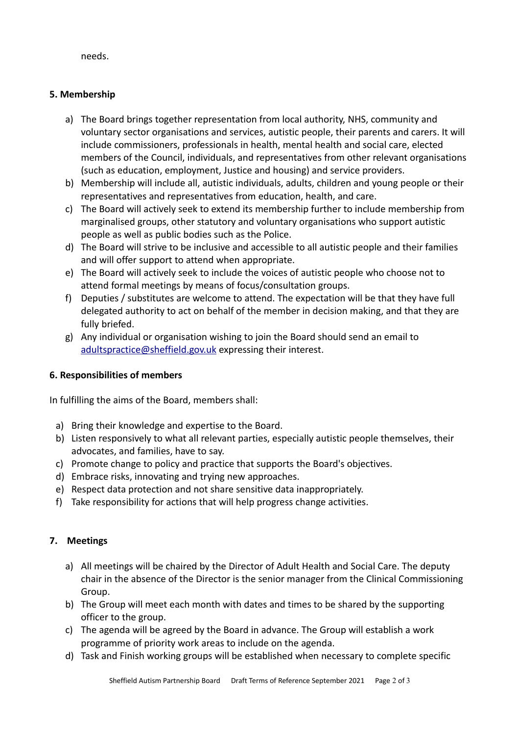needs.

## **5. Membership**

- a) The Board brings together representation from local authority, NHS, community and voluntary sector organisations and services, autistic people, their parents and carers. It will include commissioners, professionals in health, mental health and social care, elected members of the Council, individuals, and representatives from other relevant organisations (such as education, employment, Justice and housing) and service providers.
- b) Membership will include all, autistic individuals, adults, children and young people or their representatives and representatives from education, health, and care.
- c) The Board will actively seek to extend its membership further to include membership from marginalised groups, other statutory and voluntary organisations who support autistic people as well as public bodies such as the Police.
- d) The Board will strive to be inclusive and accessible to all autistic people and their families and will offer support to attend when appropriate.
- e) The Board will actively seek to include the voices of autistic people who choose not to attend formal meetings by means of focus/consultation groups.
- f) Deputies / substitutes are welcome to attend. The expectation will be that they have full delegated authority to act on behalf of the member in decision making, and that they are fully briefed.
- g) Any individual or organisation wishing to join the Board should send an email to [adultspractice@sheffield.gov.uk](mailto:adultspractice@sheffield.gov.uk) expressing their interest.

## **6. Responsibilities of members**

In fulfilling the aims of the Board, members shall:

- a) Bring their knowledge and expertise to the Board.
- b) Listen responsively to what all relevant parties, especially autistic people themselves, their advocates, and families, have to say.
- c) Promote change to policy and practice that supports the Board's objectives.
- d) Embrace risks, innovating and trying new approaches.
- e) Respect data protection and not share sensitive data inappropriately.
- f) Take responsibility for actions that will help progress change activities.

## **7. Meetings**

- a) All meetings will be chaired by the Director of Adult Health and Social Care. The deputy chair in the absence of the Director is the senior manager from the Clinical Commissioning Group.
- b) The Group will meet each month with dates and times to be shared by the supporting officer to the group.
- c) The agenda will be agreed by the Board in advance. The Group will establish a work programme of priority work areas to include on the agenda.
- d) Task and Finish working groups will be established when necessary to complete specific